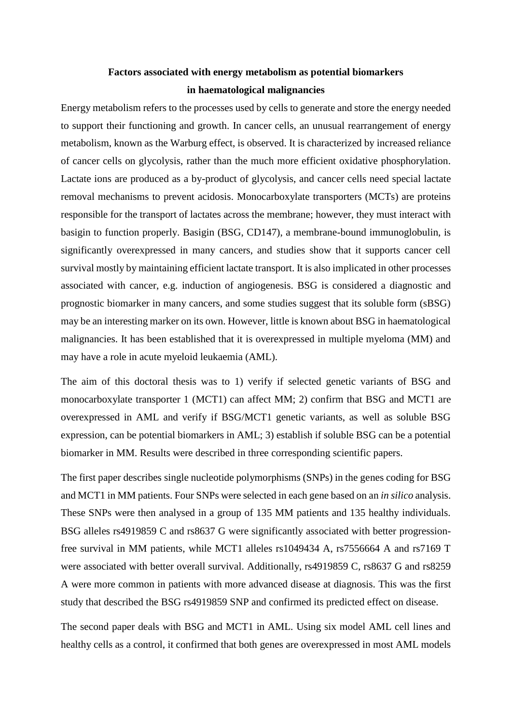## **Factors associated with energy metabolism as potential biomarkers in haematological malignancies**

Energy metabolism refers to the processes used by cells to generate and store the energy needed to support their functioning and growth. In cancer cells, an unusual rearrangement of energy metabolism, known as the Warburg effect, is observed. It is characterized by increased reliance of cancer cells on glycolysis, rather than the much more efficient oxidative phosphorylation. Lactate ions are produced as a by-product of glycolysis, and cancer cells need special lactate removal mechanisms to prevent acidosis. Monocarboxylate transporters (MCTs) are proteins responsible for the transport of lactates across the membrane; however, they must interact with basigin to function properly. Basigin (BSG, CD147), a membrane-bound immunoglobulin, is significantly overexpressed in many cancers, and studies show that it supports cancer cell survival mostly by maintaining efficient lactate transport. It is also implicated in other processes associated with cancer, e.g. induction of angiogenesis. BSG is considered a diagnostic and prognostic biomarker in many cancers, and some studies suggest that its soluble form (sBSG) may be an interesting marker on its own. However, little is known about BSG in haematological malignancies. It has been established that it is overexpressed in multiple myeloma (MM) and may have a role in acute myeloid leukaemia (AML).

The aim of this doctoral thesis was to 1) verify if selected genetic variants of BSG and monocarboxylate transporter 1 (MCT1) can affect MM; 2) confirm that BSG and MCT1 are overexpressed in AML and verify if BSG/MCT1 genetic variants, as well as soluble BSG expression, can be potential biomarkers in AML; 3) establish if soluble BSG can be a potential biomarker in MM. Results were described in three corresponding scientific papers.

The first paper describes single nucleotide polymorphisms (SNPs) in the genes coding for BSG and MCT1 in MM patients. Four SNPs were selected in each gene based on an *in silico* analysis. These SNPs were then analysed in a group of 135 MM patients and 135 healthy individuals. BSG alleles rs4919859 C and rs8637 G were significantly associated with better progressionfree survival in MM patients, while MCT1 alleles rs1049434 A, rs7556664 A and rs7169 T were associated with better overall survival. Additionally, rs4919859 C, rs8637 G and rs8259 A were more common in patients with more advanced disease at diagnosis. This was the first study that described the BSG rs4919859 SNP and confirmed its predicted effect on disease.

The second paper deals with BSG and MCT1 in AML. Using six model AML cell lines and healthy cells as a control, it confirmed that both genes are overexpressed in most AML models